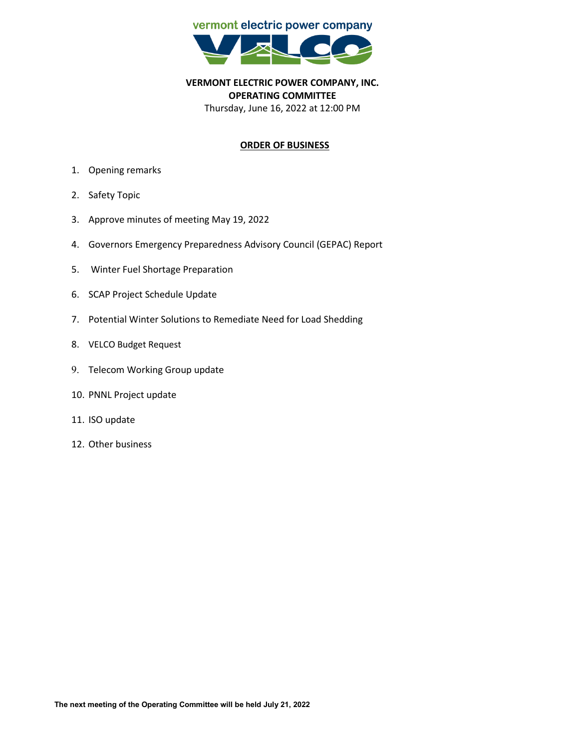

**VERMONT ELECTRIC POWER COMPANY, INC. OPERATING COMMITTEE** Thursday, June 16, 2022 at 12:00 PM

## **ORDER OF BUSINESS**

- 1. Opening remarks
- 2. Safety Topic
- 3. Approve minutes of meeting May 19, 2022
- 4. Governors Emergency Preparedness Advisory Council (GEPAC) Report
- 5. Winter Fuel Shortage Preparation
- 6. SCAP Project Schedule Update
- 7. Potential Winter Solutions to Remediate Need for Load Shedding
- 8. VELCO Budget Request
- 9. Telecom Working Group update
- 10. PNNL Project update
- 11. ISO update
- 12. Other business